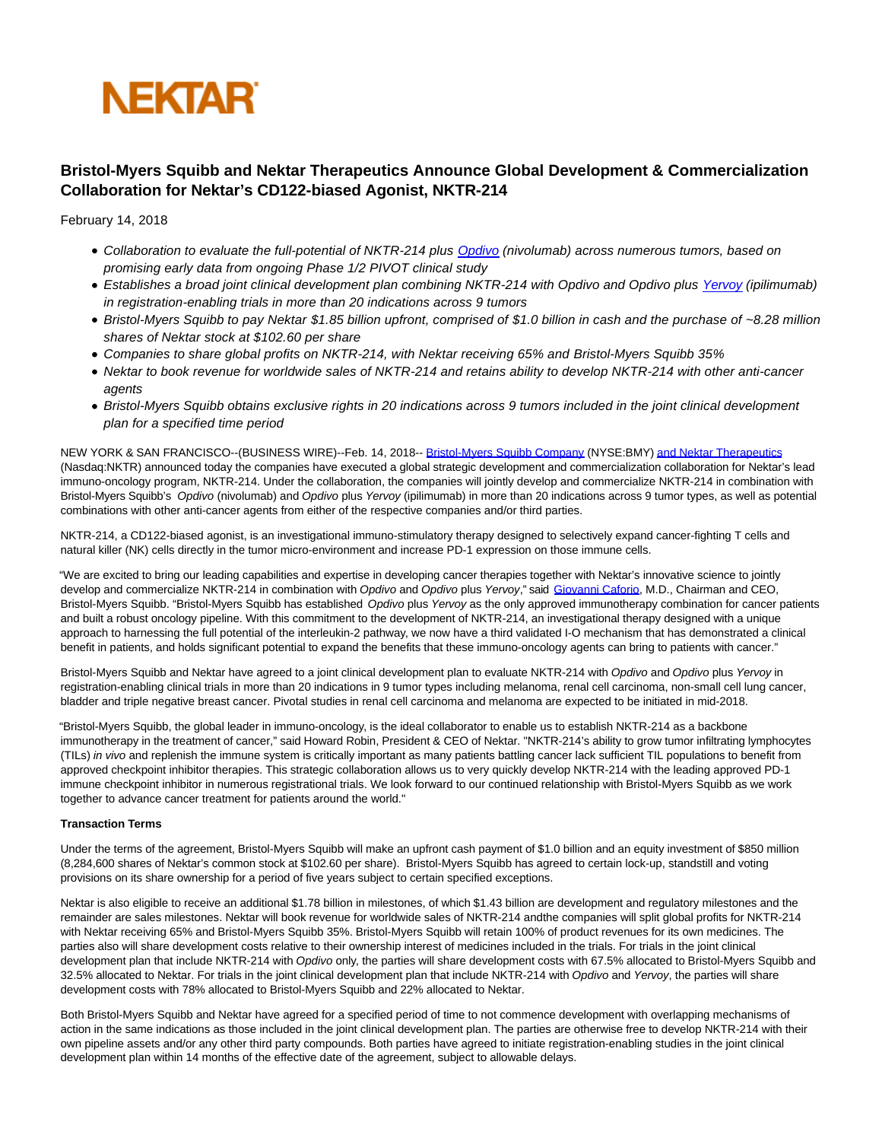

# **Bristol-Myers Squibb and Nektar Therapeutics Announce Global Development & Commercialization Collaboration for Nektar's CD122-biased Agonist, NKTR-214**

February 14, 2018

- Collaboration to evaluate the full-potential of NKTR-214 plus [Opdivo \(](http://cts.businesswire.com/ct/CT?id=smartlink&url=https%3A%2F%2Fwww.opdivo.com%2F&esheet=51758466&lan=en-US&anchor=Opdivo&index=1&md5=9c85e7e8929f9377cf51f37992732ed3)nivolumab) across numerous tumors, based on promising early data from ongoing Phase 1/2 PIVOT clinical study
- Establishes a broad joint clinical development plan combining NKTR-214 with Opdivo and Opdivo plus [Yervoy \(](http://cts.businesswire.com/ct/CT?id=smartlink&url=https%3A%2F%2Fwww.yervoy.com%2F&esheet=51758466&lan=en-US&anchor=Yervoy&index=2&md5=a2dcceb038658f75832dafc565b34d0d)ipilimumab) in registration-enabling trials in more than 20 indications across 9 tumors
- Bristol-Myers Squibb to pay Nektar \$1.85 billion upfront, comprised of \$1.0 billion in cash and the purchase of ~8.28 million shares of Nektar stock at \$102.60 per share
- Companies to share global profits on NKTR-214, with Nektar receiving 65% and Bristol-Myers Squibb 35%
- Nektar to book revenue for worldwide sales of NKTR-214 and retains ability to develop NKTR-214 with other anti-cancer agents
- Bristol-Myers Squibb obtains exclusive rights in 20 indications across 9 tumors included in the joint clinical development plan for a specified time period

NEW YORK & SAN FRANCISCO--(BUSINESS WIRE)--Feb. 14, 2018-- [Bristol-Myers Squibb Company \(](http://cts.businesswire.com/ct/CT?id=smartlink&url=http%3A%2F%2Fbms.com%2Fpages%2Fdefault.aspx&esheet=51758466&newsitemid=20180214005660&lan=en-US&anchor=Bristol-Myers+Squibb+Company&index=3&md5=75fcb39a9bcc7869a1a9977975e3426c)NYSE:BMY[\) and Nektar Therapeutics](http://cts.businesswire.com/ct/CT?id=smartlink&url=http%3A%2F%2Fwww.nektar.com%2F&esheet=51758466&newsitemid=20180214005660&lan=en-US&anchor=and+Nektar+Therapeutics&index=4&md5=bc397e443860acef7ea91635b00174ae) (Nasdaq:NKTR) announced today the companies have executed a global strategic development and commercialization collaboration for Nektar's lead immuno-oncology program, NKTR-214. Under the collaboration, the companies will jointly develop and commercialize NKTR-214 in combination with Bristol-Myers Squibb's Opdivo (nivolumab) and Opdivo plus Yervoy (ipilimumab) in more than 20 indications across 9 tumor types, as well as potential combinations with other anti-cancer agents from either of the respective companies and/or third parties.

NKTR-214, a CD122-biased agonist, is an investigational immuno-stimulatory therapy designed to selectively expand cancer-fighting T cells and natural killer (NK) cells directly in the tumor micro-environment and increase PD-1 expression on those immune cells.

"We are excited to bring our leading capabilities and expertise in developing cancer therapies together with Nektar's innovative science to jointly develop and commercialize NKTR-214 in combination with Opdivo and Opdivo plus Yervoy," said [Giovanni Caforio,](http://cts.businesswire.com/ct/CT?id=smartlink&url=https%3A%2F%2Fwww.bms.com%2Fabout-us%2Fleadership%2Fleadership-team.html&esheet=51758466&newsitemid=20180214005660&lan=en-US&anchor=Giovanni+Caforio&index=5&md5=ed3449f3e95b2087eedef1183d0a807d) M.D., Chairman and CEO, Bristol-Myers Squibb. "Bristol-Myers Squibb has established Opdivo plus Yervoy as the only approved immunotherapy combination for cancer patients and built a robust oncology pipeline. With this commitment to the development of NKTR-214, an investigational therapy designed with a unique approach to harnessing the full potential of the interleukin-2 pathway, we now have a third validated I-O mechanism that has demonstrated a clinical benefit in patients, and holds significant potential to expand the benefits that these immuno-oncology agents can bring to patients with cancer."

Bristol-Myers Squibb and Nektar have agreed to a joint clinical development plan to evaluate NKTR-214 with Opdivo and Opdivo plus Yervoy in registration-enabling clinical trials in more than 20 indications in 9 tumor types including melanoma, renal cell carcinoma, non-small cell lung cancer, bladder and triple negative breast cancer. Pivotal studies in renal cell carcinoma and melanoma are expected to be initiated in mid-2018.

"Bristol-Myers Squibb, the global leader in immuno-oncology, is the ideal collaborator to enable us to establish NKTR-214 as a backbone immunotherapy in the treatment of cancer," said Howard Robin, President & CEO of Nektar. "NKTR-214's ability to grow tumor infiltrating lymphocytes (TILs) in vivo and replenish the immune system is critically important as many patients battling cancer lack sufficient TIL populations to benefit from approved checkpoint inhibitor therapies. This strategic collaboration allows us to very quickly develop NKTR-214 with the leading approved PD-1 immune checkpoint inhibitor in numerous registrational trials. We look forward to our continued relationship with Bristol-Myers Squibb as we work together to advance cancer treatment for patients around the world."

# **Transaction Terms**

Under the terms of the agreement, Bristol-Myers Squibb will make an upfront cash payment of \$1.0 billion and an equity investment of \$850 million (8,284,600 shares of Nektar's common stock at \$102.60 per share). Bristol-Myers Squibb has agreed to certain lock-up, standstill and voting provisions on its share ownership for a period of five years subject to certain specified exceptions.

Nektar is also eligible to receive an additional \$1.78 billion in milestones, of which \$1.43 billion are development and regulatory milestones and the remainder are sales milestones. Nektar will book revenue for worldwide sales of NKTR-214 andthe companies will split global profits for NKTR-214 with Nektar receiving 65% and Bristol-Myers Squibb 35%. Bristol-Myers Squibb will retain 100% of product revenues for its own medicines. The parties also will share development costs relative to their ownership interest of medicines included in the trials. For trials in the joint clinical development plan that include NKTR-214 with Opdivo only, the parties will share development costs with 67.5% allocated to Bristol-Myers Squibb and 32.5% allocated to Nektar. For trials in the joint clinical development plan that include NKTR-214 with Opdivo and Yervoy, the parties will share development costs with 78% allocated to Bristol-Myers Squibb and 22% allocated to Nektar.

Both Bristol-Myers Squibb and Nektar have agreed for a specified period of time to not commence development with overlapping mechanisms of action in the same indications as those included in the joint clinical development plan. The parties are otherwise free to develop NKTR-214 with their own pipeline assets and/or any other third party compounds. Both parties have agreed to initiate registration-enabling studies in the joint clinical development plan within 14 months of the effective date of the agreement, subject to allowable delays.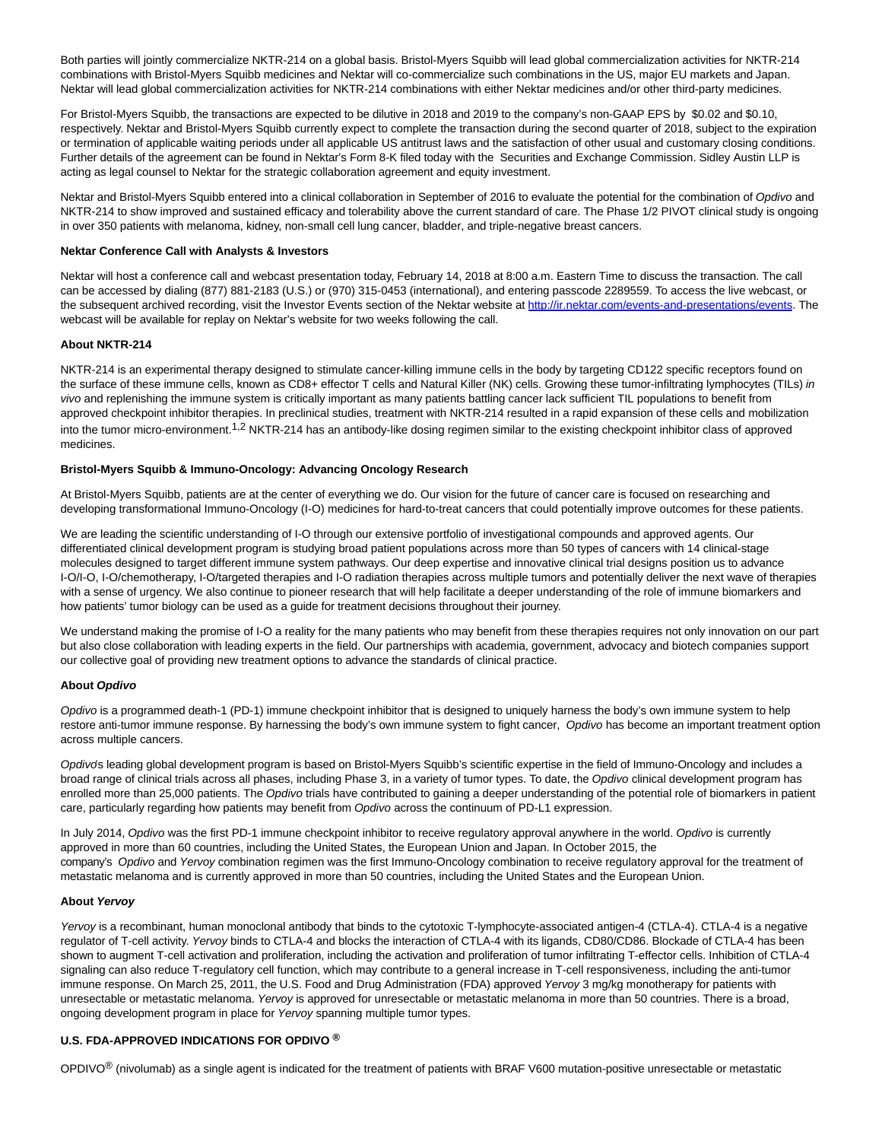Both parties will jointly commercialize NKTR-214 on a global basis. Bristol-Myers Squibb will lead global commercialization activities for NKTR-214 combinations with Bristol-Myers Squibb medicines and Nektar will co-commercialize such combinations in the US, major EU markets and Japan. Nektar will lead global commercialization activities for NKTR-214 combinations with either Nektar medicines and/or other third-party medicines.

For Bristol-Myers Squibb, the transactions are expected to be dilutive in 2018 and 2019 to the company's non-GAAP EPS by \$0.02 and \$0.10, respectively. Nektar and Bristol-Myers Squibb currently expect to complete the transaction during the second quarter of 2018, subject to the expiration or termination of applicable waiting periods under all applicable US antitrust laws and the satisfaction of other usual and customary closing conditions. Further details of the agreement can be found in Nektar's Form 8-K filed today with the Securities and Exchange Commission. Sidley Austin LLP is acting as legal counsel to Nektar for the strategic collaboration agreement and equity investment.

Nektar and Bristol-Myers Squibb entered into a clinical collaboration in September of 2016 to evaluate the potential for the combination of Opdivo and NKTR-214 to show improved and sustained efficacy and tolerability above the current standard of care. The Phase 1/2 PIVOT clinical study is ongoing in over 350 patients with melanoma, kidney, non-small cell lung cancer, bladder, and triple-negative breast cancers.

## **Nektar Conference Call with Analysts & Investors**

Nektar will host a conference call and webcast presentation today, February 14, 2018 at 8:00 a.m. Eastern Time to discuss the transaction. The call can be accessed by dialing (877) 881-2183 (U.S.) or (970) 315-0453 (international), and entering passcode 2289559. To access the live webcast, or the subsequent archived recording, visit the Investor Events section of the Nektar website at [http://ir.nektar.com/events-and-presentations/events.](http://cts.businesswire.com/ct/CT?id=smartlink&url=http%3A%2F%2Fir.nektar.com%2Fevents-and-presentations%2Fevents&esheet=51758466&newsitemid=20180214005660&lan=en-US&anchor=http%3A%2F%2Fir.nektar.com%2Fevents-and-presentations%2Fevents&index=6&md5=65d53d90b6aebd7e8b3d0b132a71e220) The webcast will be available for replay on Nektar's website for two weeks following the call.

## **About NKTR-214**

NKTR-214 is an experimental therapy designed to stimulate cancer-killing immune cells in the body by targeting CD122 specific receptors found on the surface of these immune cells, known as CD8+ effector T cells and Natural Killer (NK) cells. Growing these tumor-infiltrating lymphocytes (TILs) in vivo and replenishing the immune system is critically important as many patients battling cancer lack sufficient TIL populations to benefit from approved checkpoint inhibitor therapies. In preclinical studies, treatment with NKTR-214 resulted in a rapid expansion of these cells and mobilization into the tumor micro-environment.<sup>1,2</sup> NKTR-214 has an antibody-like dosing regimen similar to the existing checkpoint inhibitor class of approved medicines.

## **Bristol-Myers Squibb & Immuno-Oncology: Advancing Oncology Research**

At Bristol-Myers Squibb, patients are at the center of everything we do. Our vision for the future of cancer care is focused on researching and developing transformational Immuno-Oncology (I-O) medicines for hard-to-treat cancers that could potentially improve outcomes for these patients.

We are leading the scientific understanding of I-O through our extensive portfolio of investigational compounds and approved agents. Our differentiated clinical development program is studying broad patient populations across more than 50 types of cancers with 14 clinical-stage molecules designed to target different immune system pathways. Our deep expertise and innovative clinical trial designs position us to advance I-O/I-O, I-O/chemotherapy, I-O/targeted therapies and I-O radiation therapies across multiple tumors and potentially deliver the next wave of therapies with a sense of urgency. We also continue to pioneer research that will help facilitate a deeper understanding of the role of immune biomarkers and how patients' tumor biology can be used as a guide for treatment decisions throughout their journey.

We understand making the promise of I-O a reality for the many patients who may benefit from these therapies requires not only innovation on our part but also close collaboration with leading experts in the field. Our partnerships with academia, government, advocacy and biotech companies support our collective goal of providing new treatment options to advance the standards of clinical practice.

## **About Opdivo**

Opdivo is a programmed death-1 (PD-1) immune checkpoint inhibitor that is designed to uniquely harness the body's own immune system to help restore anti-tumor immune response. By harnessing the body's own immune system to fight cancer, Opdivo has become an important treatment option across multiple cancers.

Opdivo's leading global development program is based on Bristol-Myers Squibb's scientific expertise in the field of Immuno-Oncology and includes a broad range of clinical trials across all phases, including Phase 3, in a variety of tumor types. To date, the Opdivo clinical development program has enrolled more than 25,000 patients. The Opdivo trials have contributed to gaining a deeper understanding of the potential role of biomarkers in patient care, particularly regarding how patients may benefit from Opdivo across the continuum of PD-L1 expression.

In July 2014, Opdivo was the first PD-1 immune checkpoint inhibitor to receive regulatory approval anywhere in the world. Opdivo is currently approved in more than 60 countries, including the United States, the European Union and Japan. In October 2015, the company's Opdivo and Yervoy combination regimen was the first Immuno-Oncology combination to receive regulatory approval for the treatment of metastatic melanoma and is currently approved in more than 50 countries, including the United States and the European Union.

## **About Yervoy**

Yervoy is a recombinant, human monoclonal antibody that binds to the cytotoxic T-lymphocyte-associated antigen-4 (CTLA-4). CTLA-4 is a negative regulator of T-cell activity. Yervoy binds to CTLA-4 and blocks the interaction of CTLA-4 with its ligands, CD80/CD86. Blockade of CTLA-4 has been shown to augment T-cell activation and proliferation, including the activation and proliferation of tumor infiltrating T-effector cells. Inhibition of CTLA-4 signaling can also reduce T-regulatory cell function, which may contribute to a general increase in T-cell responsiveness, including the anti-tumor immune response. On March 25, 2011, the U.S. Food and Drug Administration (FDA) approved Yervoy 3 mg/kg monotherapy for patients with unresectable or metastatic melanoma. Yervoy is approved for unresectable or metastatic melanoma in more than 50 countries. There is a broad, ongoing development program in place for Yervoy spanning multiple tumor types.

## **U.S. FDA-APPROVED INDICATIONS FOR OPDIVO ®**

 $OPDIVO<sup>®</sup>$  (nivolumab) as a single agent is indicated for the treatment of patients with BRAF V600 mutation-positive unresectable or metastatic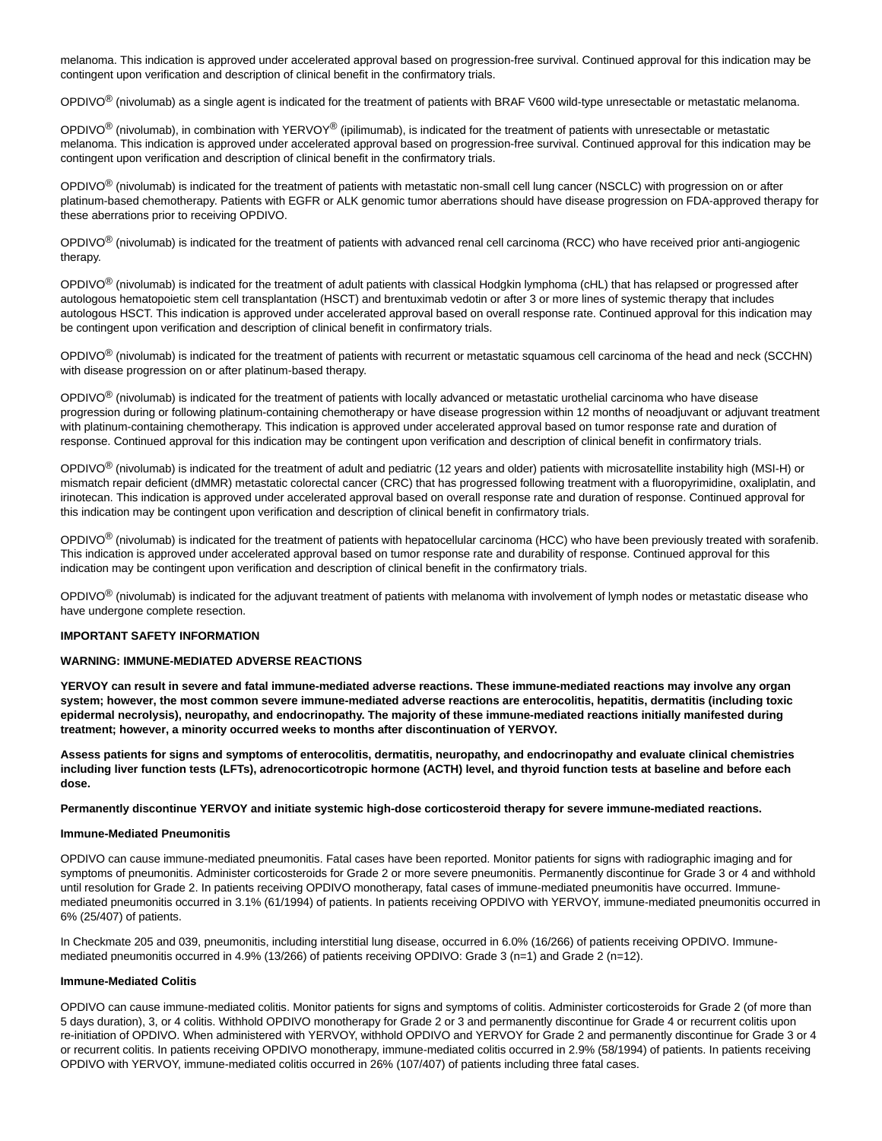melanoma. This indication is approved under accelerated approval based on progression-free survival. Continued approval for this indication may be contingent upon verification and description of clinical benefit in the confirmatory trials.

OPDIVO<sup>®</sup> (nivolumab) as a single agent is indicated for the treatment of patients with BRAF V600 wild-type unresectable or metastatic melanoma.

OPDIVO<sup>®</sup> (nivolumab), in combination with YERVOY<sup>®</sup> (ipilimumab), is indicated for the treatment of patients with unresectable or metastatic melanoma. This indication is approved under accelerated approval based on progression-free survival. Continued approval for this indication may be contingent upon verification and description of clinical benefit in the confirmatory trials.

OPDIVO<sup>®</sup> (nivolumab) is indicated for the treatment of patients with metastatic non-small cell lung cancer (NSCLC) with progression on or after platinum-based chemotherapy. Patients with EGFR or ALK genomic tumor aberrations should have disease progression on FDA-approved therapy for these aberrations prior to receiving OPDIVO.

OPDIVO<sup>®</sup> (nivolumab) is indicated for the treatment of patients with advanced renal cell carcinoma (RCC) who have received prior anti-angiogenic therapy.

OPDIVO<sup>®</sup> (nivolumab) is indicated for the treatment of adult patients with classical Hodgkin lymphoma (cHL) that has relapsed or progressed after autologous hematopoietic stem cell transplantation (HSCT) and brentuximab vedotin or after 3 or more lines of systemic therapy that includes autologous HSCT. This indication is approved under accelerated approval based on overall response rate. Continued approval for this indication may be contingent upon verification and description of clinical benefit in confirmatory trials.

OPDIVO<sup>®</sup> (nivolumab) is indicated for the treatment of patients with recurrent or metastatic squamous cell carcinoma of the head and neck (SCCHN) with disease progression on or after platinum-based therapy.

OPDIVO<sup>®</sup> (nivolumab) is indicated for the treatment of patients with locally advanced or metastatic urothelial carcinoma who have disease progression during or following platinum-containing chemotherapy or have disease progression within 12 months of neoadjuvant or adjuvant treatment with platinum-containing chemotherapy. This indication is approved under accelerated approval based on tumor response rate and duration of response. Continued approval for this indication may be contingent upon verification and description of clinical benefit in confirmatory trials.

OPDIVO<sup>®</sup> (nivolumab) is indicated for the treatment of adult and pediatric (12 years and older) patients with microsatellite instability high (MSI-H) or mismatch repair deficient (dMMR) metastatic colorectal cancer (CRC) that has progressed following treatment with a fluoropyrimidine, oxaliplatin, and irinotecan. This indication is approved under accelerated approval based on overall response rate and duration of response. Continued approval for this indication may be contingent upon verification and description of clinical benefit in confirmatory trials.

 $OPDIVO<sup>®</sup>$  (nivolumab) is indicated for the treatment of patients with hepatocellular carcinoma (HCC) who have been previously treated with sorafenib. This indication is approved under accelerated approval based on tumor response rate and durability of response. Continued approval for this indication may be contingent upon verification and description of clinical benefit in the confirmatory trials.

OPDIVO<sup>®</sup> (nivolumab) is indicated for the adjuvant treatment of patients with melanoma with involvement of lymph nodes or metastatic disease who have undergone complete resection.

## **IMPORTANT SAFETY INFORMATION**

## **WARNING: IMMUNE-MEDIATED ADVERSE REACTIONS**

**YERVOY can result in severe and fatal immune-mediated adverse reactions. These immune-mediated reactions may involve any organ system; however, the most common severe immune-mediated adverse reactions are enterocolitis, hepatitis, dermatitis (including toxic epidermal necrolysis), neuropathy, and endocrinopathy. The majority of these immune-mediated reactions initially manifested during treatment; however, a minority occurred weeks to months after discontinuation of YERVOY.**

**Assess patients for signs and symptoms of enterocolitis, dermatitis, neuropathy, and endocrinopathy and evaluate clinical chemistries including liver function tests (LFTs), adrenocorticotropic hormone (ACTH) level, and thyroid function tests at baseline and before each dose.**

**Permanently discontinue YERVOY and initiate systemic high-dose corticosteroid therapy for severe immune-mediated reactions.**

## **Immune-Mediated Pneumonitis**

OPDIVO can cause immune-mediated pneumonitis. Fatal cases have been reported. Monitor patients for signs with radiographic imaging and for symptoms of pneumonitis. Administer corticosteroids for Grade 2 or more severe pneumonitis. Permanently discontinue for Grade 3 or 4 and withhold until resolution for Grade 2. In patients receiving OPDIVO monotherapy, fatal cases of immune-mediated pneumonitis have occurred. Immunemediated pneumonitis occurred in 3.1% (61/1994) of patients. In patients receiving OPDIVO with YERVOY, immune-mediated pneumonitis occurred in 6% (25/407) of patients.

In Checkmate 205 and 039, pneumonitis, including interstitial lung disease, occurred in 6.0% (16/266) of patients receiving OPDIVO. Immunemediated pneumonitis occurred in 4.9% (13/266) of patients receiving OPDIVO: Grade 3 (n=1) and Grade 2 (n=12).

## **Immune-Mediated Colitis**

OPDIVO can cause immune-mediated colitis. Monitor patients for signs and symptoms of colitis. Administer corticosteroids for Grade 2 (of more than 5 days duration), 3, or 4 colitis. Withhold OPDIVO monotherapy for Grade 2 or 3 and permanently discontinue for Grade 4 or recurrent colitis upon re-initiation of OPDIVO. When administered with YERVOY, withhold OPDIVO and YERVOY for Grade 2 and permanently discontinue for Grade 3 or 4 or recurrent colitis. In patients receiving OPDIVO monotherapy, immune-mediated colitis occurred in 2.9% (58/1994) of patients. In patients receiving OPDIVO with YERVOY, immune-mediated colitis occurred in 26% (107/407) of patients including three fatal cases.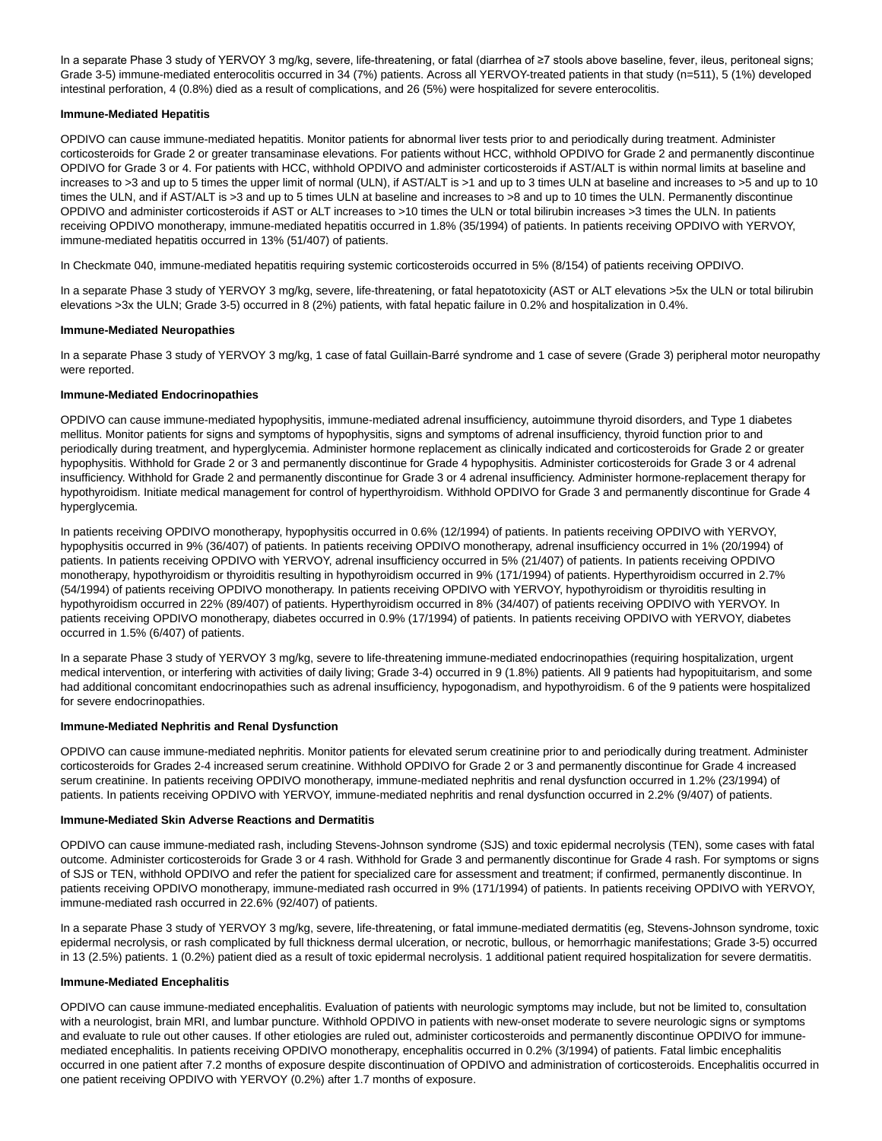In a separate Phase 3 study of YERVOY 3 mg/kg, severe, life-threatening, or fatal (diarrhea of ≥7 stools above baseline, fever, ileus, peritoneal signs; Grade 3-5) immune-mediated enterocolitis occurred in 34 (7%) patients. Across all YERVOY-treated patients in that study (n=511), 5 (1%) developed intestinal perforation, 4 (0.8%) died as a result of complications, and 26 (5%) were hospitalized for severe enterocolitis.

## **Immune-Mediated Hepatitis**

OPDIVO can cause immune-mediated hepatitis. Monitor patients for abnormal liver tests prior to and periodically during treatment. Administer corticosteroids for Grade 2 or greater transaminase elevations. For patients without HCC, withhold OPDIVO for Grade 2 and permanently discontinue OPDIVO for Grade 3 or 4. For patients with HCC, withhold OPDIVO and administer corticosteroids if AST/ALT is within normal limits at baseline and increases to >3 and up to 5 times the upper limit of normal (ULN), if AST/ALT is >1 and up to 3 times ULN at baseline and increases to >5 and up to 10 times the ULN, and if AST/ALT is >3 and up to 5 times ULN at baseline and increases to >8 and up to 10 times the ULN. Permanently discontinue OPDIVO and administer corticosteroids if AST or ALT increases to >10 times the ULN or total bilirubin increases >3 times the ULN. In patients receiving OPDIVO monotherapy, immune-mediated hepatitis occurred in 1.8% (35/1994) of patients. In patients receiving OPDIVO with YERVOY, immune-mediated hepatitis occurred in 13% (51/407) of patients.

In Checkmate 040, immune-mediated hepatitis requiring systemic corticosteroids occurred in 5% (8/154) of patients receiving OPDIVO.

In a separate Phase 3 study of YERVOY 3 mg/kg, severe, life-threatening, or fatal hepatotoxicity (AST or ALT elevations >5x the ULN or total bilirubin elevations >3x the ULN; Grade 3-5) occurred in 8 (2%) patients, with fatal hepatic failure in 0.2% and hospitalization in 0.4%.

## **Immune-Mediated Neuropathies**

In a separate Phase 3 study of YERVOY 3 mg/kg, 1 case of fatal Guillain-Barré syndrome and 1 case of severe (Grade 3) peripheral motor neuropathy were reported.

## **Immune-Mediated Endocrinopathies**

OPDIVO can cause immune-mediated hypophysitis, immune-mediated adrenal insufficiency, autoimmune thyroid disorders, and Type 1 diabetes mellitus. Monitor patients for signs and symptoms of hypophysitis, signs and symptoms of adrenal insufficiency, thyroid function prior to and periodically during treatment, and hyperglycemia. Administer hormone replacement as clinically indicated and corticosteroids for Grade 2 or greater hypophysitis. Withhold for Grade 2 or 3 and permanently discontinue for Grade 4 hypophysitis. Administer corticosteroids for Grade 3 or 4 adrenal insufficiency. Withhold for Grade 2 and permanently discontinue for Grade 3 or 4 adrenal insufficiency. Administer hormone-replacement therapy for hypothyroidism. Initiate medical management for control of hyperthyroidism. Withhold OPDIVO for Grade 3 and permanently discontinue for Grade 4 hyperglycemia.

In patients receiving OPDIVO monotherapy, hypophysitis occurred in 0.6% (12/1994) of patients. In patients receiving OPDIVO with YERVOY, hypophysitis occurred in 9% (36/407) of patients. In patients receiving OPDIVO monotherapy, adrenal insufficiency occurred in 1% (20/1994) of patients. In patients receiving OPDIVO with YERVOY, adrenal insufficiency occurred in 5% (21/407) of patients. In patients receiving OPDIVO monotherapy, hypothyroidism or thyroiditis resulting in hypothyroidism occurred in 9% (171/1994) of patients. Hyperthyroidism occurred in 2.7% (54/1994) of patients receiving OPDIVO monotherapy. In patients receiving OPDIVO with YERVOY, hypothyroidism or thyroiditis resulting in hypothyroidism occurred in 22% (89/407) of patients. Hyperthyroidism occurred in 8% (34/407) of patients receiving OPDIVO with YERVOY. In patients receiving OPDIVO monotherapy, diabetes occurred in 0.9% (17/1994) of patients. In patients receiving OPDIVO with YERVOY, diabetes occurred in 1.5% (6/407) of patients.

In a separate Phase 3 study of YERVOY 3 mg/kg, severe to life-threatening immune-mediated endocrinopathies (requiring hospitalization, urgent medical intervention, or interfering with activities of daily living; Grade 3-4) occurred in 9 (1.8%) patients. All 9 patients had hypopituitarism, and some had additional concomitant endocrinopathies such as adrenal insufficiency, hypogonadism, and hypothyroidism. 6 of the 9 patients were hospitalized for severe endocrinopathies.

## **Immune-Mediated Nephritis and Renal Dysfunction**

OPDIVO can cause immune-mediated nephritis. Monitor patients for elevated serum creatinine prior to and periodically during treatment. Administer corticosteroids for Grades 2-4 increased serum creatinine. Withhold OPDIVO for Grade 2 or 3 and permanently discontinue for Grade 4 increased serum creatinine. In patients receiving OPDIVO monotherapy, immune-mediated nephritis and renal dysfunction occurred in 1.2% (23/1994) of patients. In patients receiving OPDIVO with YERVOY, immune-mediated nephritis and renal dysfunction occurred in 2.2% (9/407) of patients.

## **Immune-Mediated Skin Adverse Reactions and Dermatitis**

OPDIVO can cause immune-mediated rash, including Stevens-Johnson syndrome (SJS) and toxic epidermal necrolysis (TEN), some cases with fatal outcome. Administer corticosteroids for Grade 3 or 4 rash. Withhold for Grade 3 and permanently discontinue for Grade 4 rash. For symptoms or signs of SJS or TEN, withhold OPDIVO and refer the patient for specialized care for assessment and treatment; if confirmed, permanently discontinue. In patients receiving OPDIVO monotherapy, immune-mediated rash occurred in 9% (171/1994) of patients. In patients receiving OPDIVO with YERVOY, immune-mediated rash occurred in 22.6% (92/407) of patients.

In a separate Phase 3 study of YERVOY 3 mg/kg, severe, life-threatening, or fatal immune-mediated dermatitis (eg, Stevens-Johnson syndrome, toxic epidermal necrolysis, or rash complicated by full thickness dermal ulceration, or necrotic, bullous, or hemorrhagic manifestations; Grade 3-5) occurred in 13 (2.5%) patients. 1 (0.2%) patient died as a result of toxic epidermal necrolysis. 1 additional patient required hospitalization for severe dermatitis.

# **Immune-Mediated Encephalitis**

OPDIVO can cause immune-mediated encephalitis. Evaluation of patients with neurologic symptoms may include, but not be limited to, consultation with a neurologist, brain MRI, and lumbar puncture. Withhold OPDIVO in patients with new-onset moderate to severe neurologic signs or symptoms and evaluate to rule out other causes. If other etiologies are ruled out, administer corticosteroids and permanently discontinue OPDIVO for immunemediated encephalitis. In patients receiving OPDIVO monotherapy, encephalitis occurred in 0.2% (3/1994) of patients. Fatal limbic encephalitis occurred in one patient after 7.2 months of exposure despite discontinuation of OPDIVO and administration of corticosteroids. Encephalitis occurred in one patient receiving OPDIVO with YERVOY (0.2%) after 1.7 months of exposure.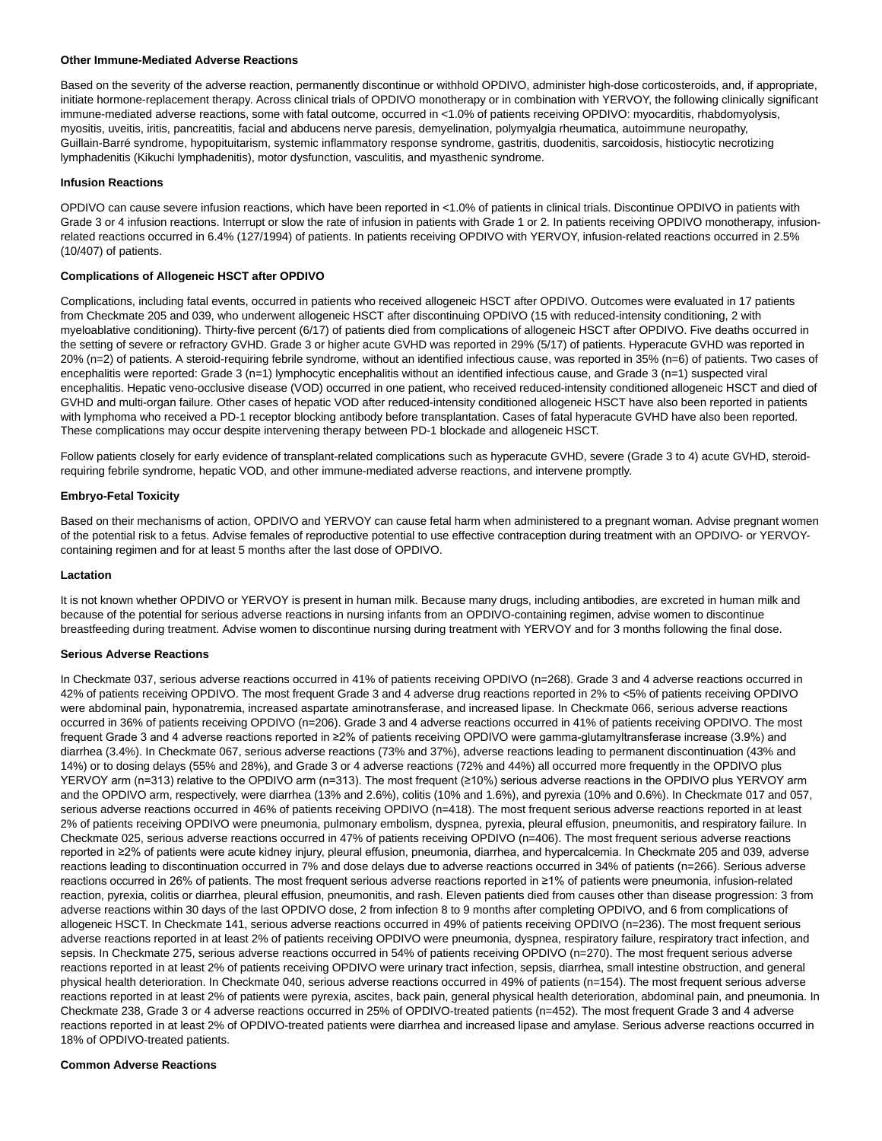## **Other Immune-Mediated Adverse Reactions**

Based on the severity of the adverse reaction, permanently discontinue or withhold OPDIVO, administer high-dose corticosteroids, and, if appropriate, initiate hormone-replacement therapy. Across clinical trials of OPDIVO monotherapy or in combination with YERVOY, the following clinically significant immune-mediated adverse reactions, some with fatal outcome, occurred in <1.0% of patients receiving OPDIVO: myocarditis, rhabdomyolysis, myositis, uveitis, iritis, pancreatitis, facial and abducens nerve paresis, demyelination, polymyalgia rheumatica, autoimmune neuropathy, Guillain-Barré syndrome, hypopituitarism, systemic inflammatory response syndrome, gastritis, duodenitis, sarcoidosis, histiocytic necrotizing lymphadenitis (Kikuchi lymphadenitis), motor dysfunction, vasculitis, and myasthenic syndrome.

## **Infusion Reactions**

OPDIVO can cause severe infusion reactions, which have been reported in <1.0% of patients in clinical trials. Discontinue OPDIVO in patients with Grade 3 or 4 infusion reactions. Interrupt or slow the rate of infusion in patients with Grade 1 or 2. In patients receiving OPDIVO monotherapy, infusionrelated reactions occurred in 6.4% (127/1994) of patients. In patients receiving OPDIVO with YERVOY, infusion-related reactions occurred in 2.5% (10/407) of patients.

# **Complications of Allogeneic HSCT after OPDIVO**

Complications, including fatal events, occurred in patients who received allogeneic HSCT after OPDIVO. Outcomes were evaluated in 17 patients from Checkmate 205 and 039, who underwent allogeneic HSCT after discontinuing OPDIVO (15 with reduced-intensity conditioning, 2 with myeloablative conditioning). Thirty-five percent (6/17) of patients died from complications of allogeneic HSCT after OPDIVO. Five deaths occurred in the setting of severe or refractory GVHD. Grade 3 or higher acute GVHD was reported in 29% (5/17) of patients. Hyperacute GVHD was reported in 20% (n=2) of patients. A steroid-requiring febrile syndrome, without an identified infectious cause, was reported in 35% (n=6) of patients. Two cases of encephalitis were reported: Grade 3 (n=1) lymphocytic encephalitis without an identified infectious cause, and Grade 3 (n=1) suspected viral encephalitis. Hepatic veno-occlusive disease (VOD) occurred in one patient, who received reduced-intensity conditioned allogeneic HSCT and died of GVHD and multi-organ failure. Other cases of hepatic VOD after reduced-intensity conditioned allogeneic HSCT have also been reported in patients with lymphoma who received a PD-1 receptor blocking antibody before transplantation. Cases of fatal hyperacute GVHD have also been reported. These complications may occur despite intervening therapy between PD-1 blockade and allogeneic HSCT.

Follow patients closely for early evidence of transplant-related complications such as hyperacute GVHD, severe (Grade 3 to 4) acute GVHD, steroidrequiring febrile syndrome, hepatic VOD, and other immune-mediated adverse reactions, and intervene promptly.

## **Embryo-Fetal Toxicity**

Based on their mechanisms of action, OPDIVO and YERVOY can cause fetal harm when administered to a pregnant woman. Advise pregnant women of the potential risk to a fetus. Advise females of reproductive potential to use effective contraception during treatment with an OPDIVO- or YERVOYcontaining regimen and for at least 5 months after the last dose of OPDIVO.

## **Lactation**

It is not known whether OPDIVO or YERVOY is present in human milk. Because many drugs, including antibodies, are excreted in human milk and because of the potential for serious adverse reactions in nursing infants from an OPDIVO-containing regimen, advise women to discontinue breastfeeding during treatment. Advise women to discontinue nursing during treatment with YERVOY and for 3 months following the final dose.

## **Serious Adverse Reactions**

In Checkmate 037, serious adverse reactions occurred in 41% of patients receiving OPDIVO (n=268). Grade 3 and 4 adverse reactions occurred in 42% of patients receiving OPDIVO. The most frequent Grade 3 and 4 adverse drug reactions reported in 2% to <5% of patients receiving OPDIVO were abdominal pain, hyponatremia, increased aspartate aminotransferase, and increased lipase. In Checkmate 066, serious adverse reactions occurred in 36% of patients receiving OPDIVO (n=206). Grade 3 and 4 adverse reactions occurred in 41% of patients receiving OPDIVO. The most frequent Grade 3 and 4 adverse reactions reported in ≥2% of patients receiving OPDIVO were gamma-glutamyltransferase increase (3.9%) and diarrhea (3.4%). In Checkmate 067, serious adverse reactions (73% and 37%), adverse reactions leading to permanent discontinuation (43% and 14%) or to dosing delays (55% and 28%), and Grade 3 or 4 adverse reactions (72% and 44%) all occurred more frequently in the OPDIVO plus YERVOY arm (n=313) relative to the OPDIVO arm (n=313). The most frequent (≥10%) serious adverse reactions in the OPDIVO plus YERVOY arm and the OPDIVO arm, respectively, were diarrhea (13% and 2.6%), colitis (10% and 1.6%), and pyrexia (10% and 0.6%). In Checkmate 017 and 057, serious adverse reactions occurred in 46% of patients receiving OPDIVO (n=418). The most frequent serious adverse reactions reported in at least 2% of patients receiving OPDIVO were pneumonia, pulmonary embolism, dyspnea, pyrexia, pleural effusion, pneumonitis, and respiratory failure. In Checkmate 025, serious adverse reactions occurred in 47% of patients receiving OPDIVO (n=406). The most frequent serious adverse reactions reported in ≥2% of patients were acute kidney injury, pleural effusion, pneumonia, diarrhea, and hypercalcemia. In Checkmate 205 and 039, adverse reactions leading to discontinuation occurred in 7% and dose delays due to adverse reactions occurred in 34% of patients (n=266). Serious adverse reactions occurred in 26% of patients. The most frequent serious adverse reactions reported in ≥1% of patients were pneumonia, infusion-related reaction, pyrexia, colitis or diarrhea, pleural effusion, pneumonitis, and rash. Eleven patients died from causes other than disease progression: 3 from adverse reactions within 30 days of the last OPDIVO dose, 2 from infection 8 to 9 months after completing OPDIVO, and 6 from complications of allogeneic HSCT. In Checkmate 141, serious adverse reactions occurred in 49% of patients receiving OPDIVO (n=236). The most frequent serious adverse reactions reported in at least 2% of patients receiving OPDIVO were pneumonia, dyspnea, respiratory failure, respiratory tract infection, and sepsis. In Checkmate 275, serious adverse reactions occurred in 54% of patients receiving OPDIVO (n=270). The most frequent serious adverse reactions reported in at least 2% of patients receiving OPDIVO were urinary tract infection, sepsis, diarrhea, small intestine obstruction, and general physical health deterioration. In Checkmate 040, serious adverse reactions occurred in 49% of patients (n=154). The most frequent serious adverse reactions reported in at least 2% of patients were pyrexia, ascites, back pain, general physical health deterioration, abdominal pain, and pneumonia. In Checkmate 238, Grade 3 or 4 adverse reactions occurred in 25% of OPDIVO-treated patients (n=452). The most frequent Grade 3 and 4 adverse reactions reported in at least 2% of OPDIVO-treated patients were diarrhea and increased lipase and amylase. Serious adverse reactions occurred in 18% of OPDIVO-treated patients.

## **Common Adverse Reactions**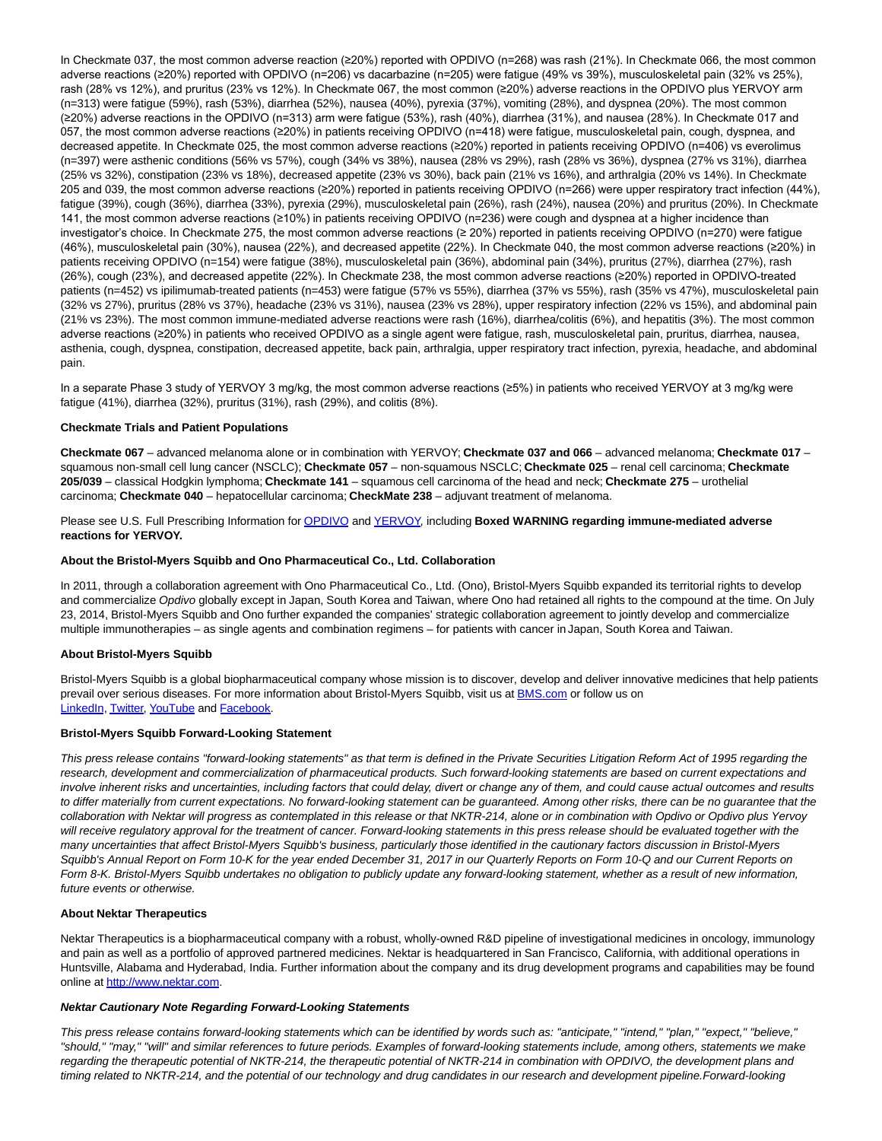In Checkmate 037, the most common adverse reaction (≥20%) reported with OPDIVO (n=268) was rash (21%). In Checkmate 066, the most common adverse reactions (≥20%) reported with OPDIVO (n=206) vs dacarbazine (n=205) were fatigue (49% vs 39%), musculoskeletal pain (32% vs 25%), rash (28% vs 12%), and pruritus (23% vs 12%). In Checkmate 067, the most common (≥20%) adverse reactions in the OPDIVO plus YERVOY arm (n=313) were fatigue (59%), rash (53%), diarrhea (52%), nausea (40%), pyrexia (37%), vomiting (28%), and dyspnea (20%). The most common (≥20%) adverse reactions in the OPDIVO (n=313) arm were fatigue (53%), rash (40%), diarrhea (31%), and nausea (28%). In Checkmate 017 and 057, the most common adverse reactions (≥20%) in patients receiving OPDIVO (n=418) were fatigue, musculoskeletal pain, cough, dyspnea, and decreased appetite. In Checkmate 025, the most common adverse reactions (≥20%) reported in patients receiving OPDIVO (n=406) vs everolimus (n=397) were asthenic conditions (56% vs 57%), cough (34% vs 38%), nausea (28% vs 29%), rash (28% vs 36%), dyspnea (27% vs 31%), diarrhea (25% vs 32%), constipation (23% vs 18%), decreased appetite (23% vs 30%), back pain (21% vs 16%), and arthralgia (20% vs 14%). In Checkmate 205 and 039, the most common adverse reactions (≥20%) reported in patients receiving OPDIVO (n=266) were upper respiratory tract infection (44%), fatigue (39%), cough (36%), diarrhea (33%), pyrexia (29%), musculoskeletal pain (26%), rash (24%), nausea (20%) and pruritus (20%). In Checkmate 141, the most common adverse reactions (≥10%) in patients receiving OPDIVO (n=236) were cough and dyspnea at a higher incidence than investigator's choice. In Checkmate 275, the most common adverse reactions (≥ 20%) reported in patients receiving OPDIVO (n=270) were fatigue (46%), musculoskeletal pain (30%), nausea (22%), and decreased appetite (22%). In Checkmate 040, the most common adverse reactions (≥20%) in patients receiving OPDIVO (n=154) were fatigue (38%), musculoskeletal pain (36%), abdominal pain (34%), pruritus (27%), diarrhea (27%), rash (26%), cough (23%), and decreased appetite (22%). In Checkmate 238, the most common adverse reactions (≥20%) reported in OPDIVO-treated patients (n=452) vs ipilimumab-treated patients (n=453) were fatigue (57% vs 55%), diarrhea (37% vs 55%), rash (35% vs 47%), musculoskeletal pain (32% vs 27%), pruritus (28% vs 37%), headache (23% vs 31%), nausea (23% vs 28%), upper respiratory infection (22% vs 15%), and abdominal pain (21% vs 23%). The most common immune-mediated adverse reactions were rash (16%), diarrhea/colitis (6%), and hepatitis (3%). The most common adverse reactions (≥20%) in patients who received OPDIVO as a single agent were fatigue, rash, musculoskeletal pain, pruritus, diarrhea, nausea, asthenia, cough, dyspnea, constipation, decreased appetite, back pain, arthralgia, upper respiratory tract infection, pyrexia, headache, and abdominal pain.

In a separate Phase 3 study of YERVOY 3 mg/kg, the most common adverse reactions (≥5%) in patients who received YERVOY at 3 mg/kg were fatigue (41%), diarrhea (32%), pruritus (31%), rash (29%), and colitis (8%).

## **Checkmate Trials and Patient Populations**

**Checkmate 067** – advanced melanoma alone or in combination with YERVOY; **Checkmate 037 and 066** – advanced melanoma; **Checkmate 017** – squamous non-small cell lung cancer (NSCLC); **Checkmate 057** – non-squamous NSCLC; **Checkmate 025** – renal cell carcinoma; **Checkmate 205/039** – classical Hodgkin lymphoma; **Checkmate 141** – squamous cell carcinoma of the head and neck; **Checkmate 275** – urothelial carcinoma; **Checkmate 040** – hepatocellular carcinoma; **CheckMate 238** – adjuvant treatment of melanoma.

Please see U.S. Full Prescribing Information fo[r OPDIVO a](http://cts.businesswire.com/ct/CT?id=smartlink&url=http%3A%2F%2Fpackageinserts.bms.com%2Fpi%2Fpi_opdivo.pdf&esheet=51758466&newsitemid=20180214005660&lan=en-US&anchor=OPDIVO&index=7&md5=c123b36929535911d6b2d9d0b25f4bc0)nd [YERVOY,](http://cts.businesswire.com/ct/CT?id=smartlink&url=http%3A%2F%2Fpackageinserts.bms.com%2Fpi%2Fpi_yervoy.pdf&esheet=51758466&newsitemid=20180214005660&lan=en-US&anchor=YERVOY&index=8&md5=a7390fcc350ae479cd6d637daf9b333a) including **Boxed WARNING regarding immune-mediated adverse reactions for YERVOY.**

## **About the Bristol-Myers Squibb and Ono Pharmaceutical Co., Ltd. Collaboration**

In 2011, through a collaboration agreement with Ono Pharmaceutical Co., Ltd. (Ono), Bristol-Myers Squibb expanded its territorial rights to develop and commercialize Opdivo globally except in Japan, South Korea and Taiwan, where Ono had retained all rights to the compound at the time. On July 23, 2014, Bristol-Myers Squibb and Ono further expanded the companies' strategic collaboration agreement to jointly develop and commercialize multiple immunotherapies – as single agents and combination regimens – for patients with cancer in Japan, South Korea and Taiwan.

## **About Bristol-Myers Squibb**

Bristol-Myers Squibb is a global biopharmaceutical company whose mission is to discover, develop and deliver innovative medicines that help patients prevail over serious diseases. For more information about Bristol-Myers Squibb, visit us at **BMS.com** or follow us on [LinkedIn,](http://cts.businesswire.com/ct/CT?id=smartlink&url=https%3A%2F%2Fwww.linkedin.com%2Fcompany%2Fbristol-myers-squibb&esheet=51758466&newsitemid=20180214005660&lan=en-US&anchor=LinkedIn&index=10&md5=ec540d5a7129c9d866c5499f629164da) [Twitter,](http://cts.businesswire.com/ct/CT?id=smartlink&url=https%3A%2F%2Ftwitter.com%2Fbmsnews&esheet=51758466&newsitemid=20180214005660&lan=en-US&anchor=Twitter&index=11&md5=bdca1a005f635fdb77e868980e16cda7) [YouTube a](http://cts.businesswire.com/ct/CT?id=smartlink&url=https%3A%2F%2Fwww.youtube.com%2Fbristolmyerssquibb&esheet=51758466&newsitemid=20180214005660&lan=en-US&anchor=YouTube&index=12&md5=65c052712dbd813db663d386a086f9a8)nd **Facebook**.

## **Bristol-Myers Squibb Forward-Looking Statement**

This press release contains "forward-looking statements" as that term is defined in the Private Securities Litigation Reform Act of 1995 regarding the research, development and commercialization of pharmaceutical products. Such forward-looking statements are based on current expectations and involve inherent risks and uncertainties, including factors that could delay, divert or change any of them, and could cause actual outcomes and results to differ materially from current expectations. No forward-looking statement can be guaranteed. Among other risks, there can be no guarantee that the collaboration with Nektar will progress as contemplated in this release or that NKTR-214, alone or in combination with Opdivo or Opdivo plus Yervoy will receive regulatory approval for the treatment of cancer. Forward-looking statements in this press release should be evaluated together with the many uncertainties that affect Bristol-Myers Squibb's business, particularly those identified in the cautionary factors discussion in Bristol-Myers Squibb's Annual Report on Form 10-K for the year ended December 31, 2017 in our Quarterly Reports on Form 10-Q and our Current Reports on Form 8-K. Bristol-Myers Squibb undertakes no obligation to publicly update any forward-looking statement, whether as a result of new information, future events or otherwise.

## **About Nektar Therapeutics**

Nektar Therapeutics is a biopharmaceutical company with a robust, wholly-owned R&D pipeline of investigational medicines in oncology, immunology and pain as well as a portfolio of approved partnered medicines. Nektar is headquartered in San Francisco, California, with additional operations in Huntsville, Alabama and Hyderabad, India. Further information about the company and its drug development programs and capabilities may be found online a[t http://www.nektar.com.](http://cts.businesswire.com/ct/CT?id=smartlink&url=http%3A%2F%2Fwww.nektar.com%2F&esheet=51758466&newsitemid=20180214005660&lan=en-US&anchor=http%3A%2F%2Fwww.nektar.com&index=14&md5=cf3d433e73627ed216f97a2ed52bc2a3)

## **Nektar Cautionary Note Regarding Forward-Looking Statements**

This press release contains forward-looking statements which can be identified by words such as: "anticipate," "intend," "plan," "expect," "believe," "should," "may," "will" and similar references to future periods. Examples of forward-looking statements include, among others, statements we make regarding the therapeutic potential of NKTR-214, the therapeutic potential of NKTR-214 in combination with OPDIVO, the development plans and timing related to NKTR-214, and the potential of our technology and drug candidates in our research and development pipeline.Forward-looking